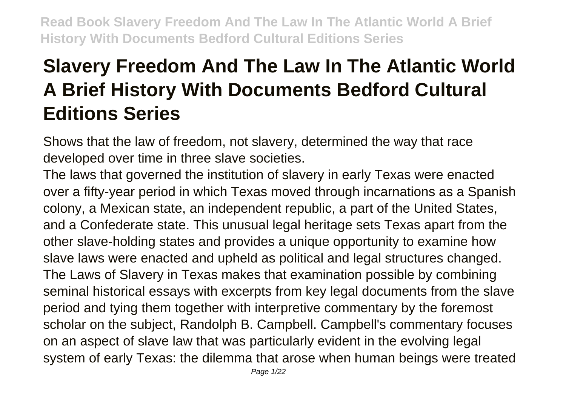# **Slavery Freedom And The Law In The Atlantic World A Brief History With Documents Bedford Cultural Editions Series**

Shows that the law of freedom, not slavery, determined the way that race developed over time in three slave societies.

The laws that governed the institution of slavery in early Texas were enacted over a fifty-year period in which Texas moved through incarnations as a Spanish colony, a Mexican state, an independent republic, a part of the United States, and a Confederate state. This unusual legal heritage sets Texas apart from the other slave-holding states and provides a unique opportunity to examine how slave laws were enacted and upheld as political and legal structures changed. The Laws of Slavery in Texas makes that examination possible by combining seminal historical essays with excerpts from key legal documents from the slave period and tying them together with interpretive commentary by the foremost scholar on the subject, Randolph B. Campbell. Campbell's commentary focuses on an aspect of slave law that was particularly evident in the evolving legal system of early Texas: the dilemma that arose when human beings were treated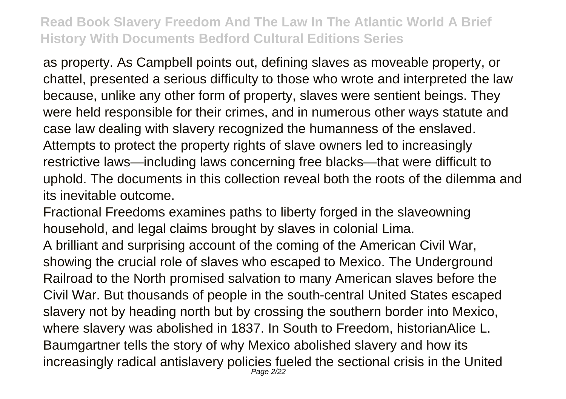as property. As Campbell points out, defining slaves as moveable property, or chattel, presented a serious difficulty to those who wrote and interpreted the law because, unlike any other form of property, slaves were sentient beings. They were held responsible for their crimes, and in numerous other ways statute and case law dealing with slavery recognized the humanness of the enslaved. Attempts to protect the property rights of slave owners led to increasingly restrictive laws—including laws concerning free blacks—that were difficult to uphold. The documents in this collection reveal both the roots of the dilemma and its inevitable outcome.

Fractional Freedoms examines paths to liberty forged in the slaveowning household, and legal claims brought by slaves in colonial Lima. A brilliant and surprising account of the coming of the American Civil War, showing the crucial role of slaves who escaped to Mexico. The Underground Railroad to the North promised salvation to many American slaves before the Civil War. But thousands of people in the south-central United States escaped slavery not by heading north but by crossing the southern border into Mexico, where slavery was abolished in 1837. In South to Freedom, historianAlice L. Baumgartner tells the story of why Mexico abolished slavery and how its increasingly radical antislavery policies fueled the sectional crisis in the United Page 2/22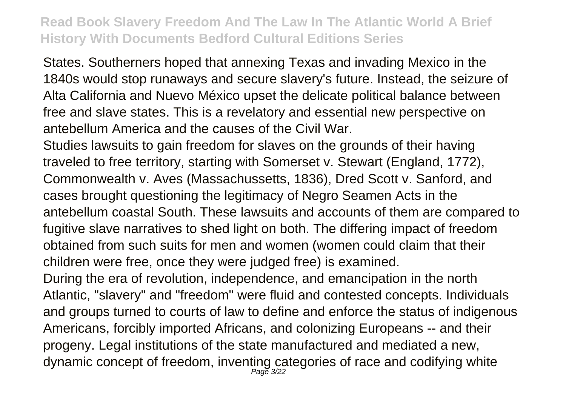States. Southerners hoped that annexing Texas and invading Mexico in the 1840s would stop runaways and secure slavery's future. Instead, the seizure of Alta California and Nuevo México upset the delicate political balance between free and slave states. This is a revelatory and essential new perspective on antebellum America and the causes of the Civil War.

Studies lawsuits to gain freedom for slaves on the grounds of their having traveled to free territory, starting with Somerset v. Stewart (England, 1772), Commonwealth v. Aves (Massachussetts, 1836), Dred Scott v. Sanford, and cases brought questioning the legitimacy of Negro Seamen Acts in the antebellum coastal South. These lawsuits and accounts of them are compared to fugitive slave narratives to shed light on both. The differing impact of freedom obtained from such suits for men and women (women could claim that their children were free, once they were judged free) is examined.

During the era of revolution, independence, and emancipation in the north Atlantic, "slavery" and "freedom" were fluid and contested concepts. Individuals and groups turned to courts of law to define and enforce the status of indigenous Americans, forcibly imported Africans, and colonizing Europeans -- and their progeny. Legal institutions of the state manufactured and mediated a new, dynamic concept of freedom, inventing categories of race and codifying white Page 3/22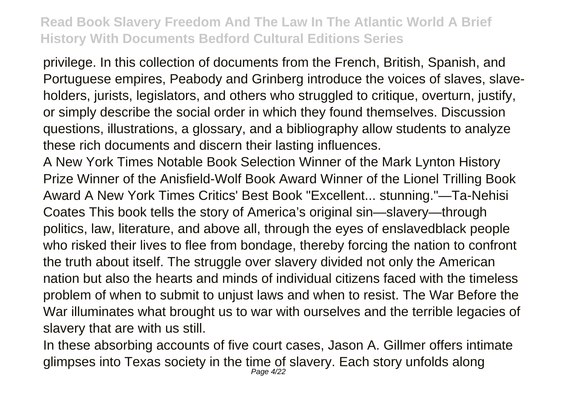privilege. In this collection of documents from the French, British, Spanish, and Portuguese empires, Peabody and Grinberg introduce the voices of slaves, slaveholders, jurists, legislators, and others who struggled to critique, overturn, justify, or simply describe the social order in which they found themselves. Discussion questions, illustrations, a glossary, and a bibliography allow students to analyze these rich documents and discern their lasting influences.

A New York Times Notable Book Selection Winner of the Mark Lynton History Prize Winner of the Anisfield-Wolf Book Award Winner of the Lionel Trilling Book Award A New York Times Critics' Best Book "Excellent... stunning."—Ta-Nehisi Coates This book tells the story of America's original sin—slavery—through politics, law, literature, and above all, through the eyes of enslavedblack people who risked their lives to flee from bondage, thereby forcing the nation to confront the truth about itself. The struggle over slavery divided not only the American nation but also the hearts and minds of individual citizens faced with the timeless problem of when to submit to unjust laws and when to resist. The War Before the War illuminates what brought us to war with ourselves and the terrible legacies of slavery that are with us still.

In these absorbing accounts of five court cases, Jason A. Gillmer offers intimate glimpses into Texas society in the time of slavery. Each story unfolds along Page 4/22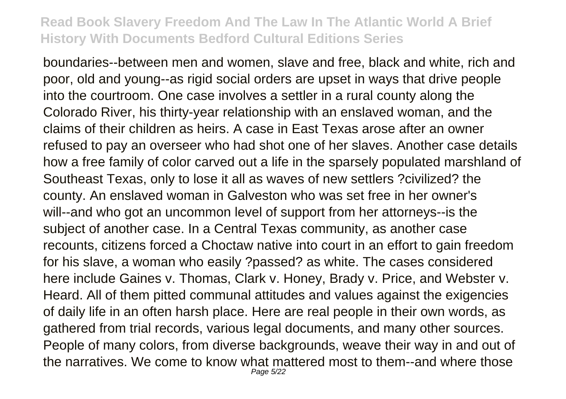boundaries--between men and women, slave and free, black and white, rich and poor, old and young--as rigid social orders are upset in ways that drive people into the courtroom. One case involves a settler in a rural county along the Colorado River, his thirty-year relationship with an enslaved woman, and the claims of their children as heirs. A case in East Texas arose after an owner refused to pay an overseer who had shot one of her slaves. Another case details how a free family of color carved out a life in the sparsely populated marshland of Southeast Texas, only to lose it all as waves of new settlers ?civilized? the county. An enslaved woman in Galveston who was set free in her owner's will--and who got an uncommon level of support from her attorneys--is the subject of another case. In a Central Texas community, as another case recounts, citizens forced a Choctaw native into court in an effort to gain freedom for his slave, a woman who easily ?passed? as white. The cases considered here include Gaines v. Thomas, Clark v. Honey, Brady v. Price, and Webster v. Heard. All of them pitted communal attitudes and values against the exigencies of daily life in an often harsh place. Here are real people in their own words, as gathered from trial records, various legal documents, and many other sources. People of many colors, from diverse backgrounds, weave their way in and out of the narratives. We come to know what mattered most to them--and where those Page 5/22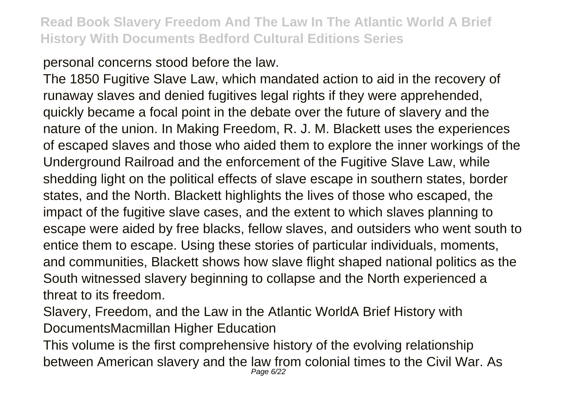personal concerns stood before the law.

The 1850 Fugitive Slave Law, which mandated action to aid in the recovery of runaway slaves and denied fugitives legal rights if they were apprehended, quickly became a focal point in the debate over the future of slavery and the nature of the union. In Making Freedom, R. J. M. Blackett uses the experiences of escaped slaves and those who aided them to explore the inner workings of the Underground Railroad and the enforcement of the Fugitive Slave Law, while shedding light on the political effects of slave escape in southern states, border states, and the North. Blackett highlights the lives of those who escaped, the impact of the fugitive slave cases, and the extent to which slaves planning to escape were aided by free blacks, fellow slaves, and outsiders who went south to entice them to escape. Using these stories of particular individuals, moments, and communities, Blackett shows how slave flight shaped national politics as the South witnessed slavery beginning to collapse and the North experienced a threat to its freedom.

Slavery, Freedom, and the Law in the Atlantic WorldA Brief History with DocumentsMacmillan Higher Education

This volume is the first comprehensive history of the evolving relationship between American slavery and the law from colonial times to the Civil War. As Page 6/22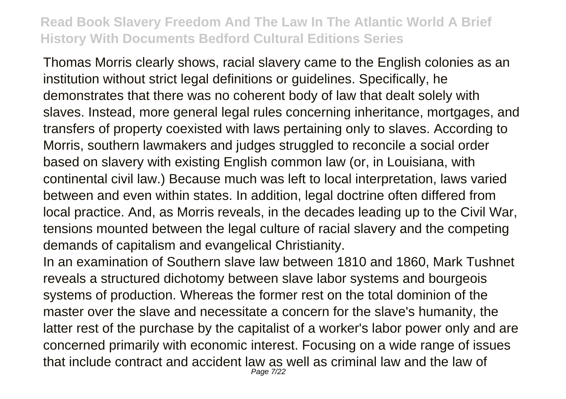Thomas Morris clearly shows, racial slavery came to the English colonies as an institution without strict legal definitions or guidelines. Specifically, he demonstrates that there was no coherent body of law that dealt solely with slaves. Instead, more general legal rules concerning inheritance, mortgages, and transfers of property coexisted with laws pertaining only to slaves. According to Morris, southern lawmakers and judges struggled to reconcile a social order based on slavery with existing English common law (or, in Louisiana, with continental civil law.) Because much was left to local interpretation, laws varied between and even within states. In addition, legal doctrine often differed from local practice. And, as Morris reveals, in the decades leading up to the Civil War, tensions mounted between the legal culture of racial slavery and the competing demands of capitalism and evangelical Christianity.

In an examination of Southern slave law between 1810 and 1860, Mark Tushnet reveals a structured dichotomy between slave labor systems and bourgeois systems of production. Whereas the former rest on the total dominion of the master over the slave and necessitate a concern for the slave's humanity, the latter rest of the purchase by the capitalist of a worker's labor power only and are concerned primarily with economic interest. Focusing on a wide range of issues that include contract and accident law as well as criminal law and the law of Page 7/22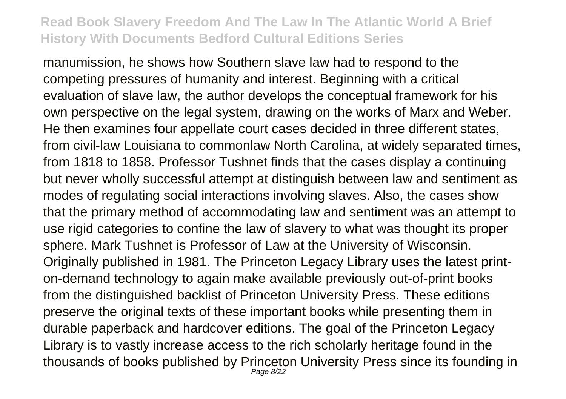manumission, he shows how Southern slave law had to respond to the competing pressures of humanity and interest. Beginning with a critical evaluation of slave law, the author develops the conceptual framework for his own perspective on the legal system, drawing on the works of Marx and Weber. He then examines four appellate court cases decided in three different states, from civil-law Louisiana to commonlaw North Carolina, at widely separated times, from 1818 to 1858. Professor Tushnet finds that the cases display a continuing but never wholly successful attempt at distinguish between law and sentiment as modes of regulating social interactions involving slaves. Also, the cases show that the primary method of accommodating law and sentiment was an attempt to use rigid categories to confine the law of slavery to what was thought its proper sphere. Mark Tushnet is Professor of Law at the University of Wisconsin. Originally published in 1981. The Princeton Legacy Library uses the latest printon-demand technology to again make available previously out-of-print books from the distinguished backlist of Princeton University Press. These editions preserve the original texts of these important books while presenting them in durable paperback and hardcover editions. The goal of the Princeton Legacy Library is to vastly increase access to the rich scholarly heritage found in the thousands of books published by Princeton University Press since its founding in Page 8/22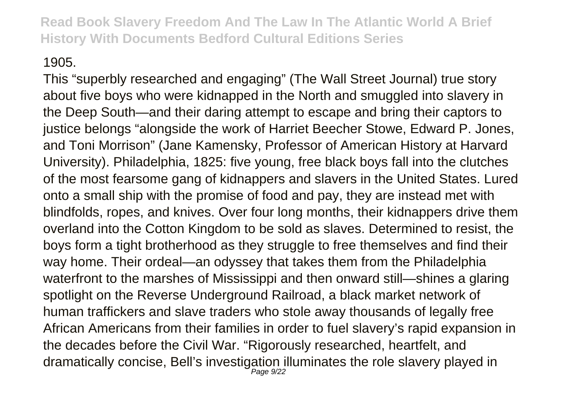#### 1905.

This "superbly researched and engaging" (The Wall Street Journal) true story about five boys who were kidnapped in the North and smuggled into slavery in the Deep South—and their daring attempt to escape and bring their captors to justice belongs "alongside the work of Harriet Beecher Stowe, Edward P. Jones, and Toni Morrison" (Jane Kamensky, Professor of American History at Harvard University). Philadelphia, 1825: five young, free black boys fall into the clutches of the most fearsome gang of kidnappers and slavers in the United States. Lured onto a small ship with the promise of food and pay, they are instead met with blindfolds, ropes, and knives. Over four long months, their kidnappers drive them overland into the Cotton Kingdom to be sold as slaves. Determined to resist, the boys form a tight brotherhood as they struggle to free themselves and find their way home. Their ordeal—an odyssey that takes them from the Philadelphia waterfront to the marshes of Mississippi and then onward still—shines a glaring spotlight on the Reverse Underground Railroad, a black market network of human traffickers and slave traders who stole away thousands of legally free African Americans from their families in order to fuel slavery's rapid expansion in the decades before the Civil War. "Rigorously researched, heartfelt, and dramatically concise, Bell's investigation illuminates the role slavery played in Page 9/22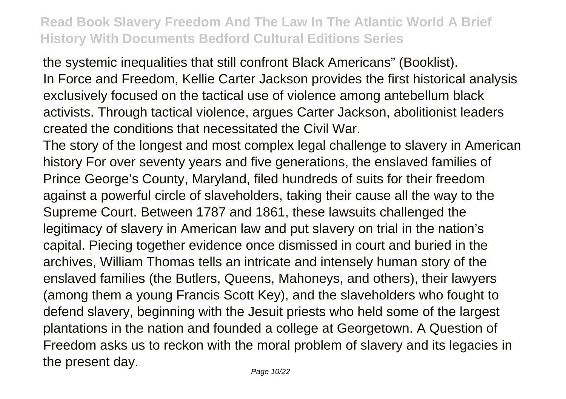the systemic inequalities that still confront Black Americans" (Booklist). In Force and Freedom, Kellie Carter Jackson provides the first historical analysis exclusively focused on the tactical use of violence among antebellum black activists. Through tactical violence, argues Carter Jackson, abolitionist leaders created the conditions that necessitated the Civil War.

The story of the longest and most complex legal challenge to slavery in American history For over seventy years and five generations, the enslaved families of Prince George's County, Maryland, filed hundreds of suits for their freedom against a powerful circle of slaveholders, taking their cause all the way to the Supreme Court. Between 1787 and 1861, these lawsuits challenged the legitimacy of slavery in American law and put slavery on trial in the nation's capital. Piecing together evidence once dismissed in court and buried in the archives, William Thomas tells an intricate and intensely human story of the enslaved families (the Butlers, Queens, Mahoneys, and others), their lawyers (among them a young Francis Scott Key), and the slaveholders who fought to defend slavery, beginning with the Jesuit priests who held some of the largest plantations in the nation and founded a college at Georgetown. A Question of Freedom asks us to reckon with the moral problem of slavery and its legacies in the present day.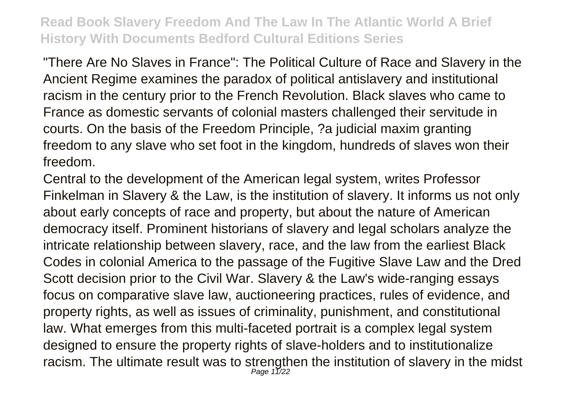"There Are No Slaves in France": The Political Culture of Race and Slavery in the Ancient Regime examines the paradox of political antislavery and institutional racism in the century prior to the French Revolution. Black slaves who came to France as domestic servants of colonial masters challenged their servitude in courts. On the basis of the Freedom Principle, ?a judicial maxim granting freedom to any slave who set foot in the kingdom, hundreds of slaves won their freedom.

Central to the development of the American legal system, writes Professor Finkelman in Slavery & the Law, is the institution of slavery. It informs us not only about early concepts of race and property, but about the nature of American democracy itself. Prominent historians of slavery and legal scholars analyze the intricate relationship between slavery, race, and the law from the earliest Black Codes in colonial America to the passage of the Fugitive Slave Law and the Dred Scott decision prior to the Civil War. Slavery & the Law's wide-ranging essays focus on comparative slave law, auctioneering practices, rules of evidence, and property rights, as well as issues of criminality, punishment, and constitutional law. What emerges from this multi-faceted portrait is a complex legal system designed to ensure the property rights of slave-holders and to institutionalize racism. The ultimate result was to strengthen the institution of slavery in the midst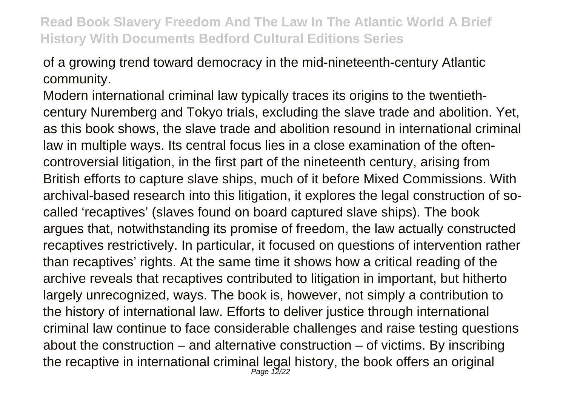of a growing trend toward democracy in the mid-nineteenth-century Atlantic community.

Modern international criminal law typically traces its origins to the twentiethcentury Nuremberg and Tokyo trials, excluding the slave trade and abolition. Yet, as this book shows, the slave trade and abolition resound in international criminal law in multiple ways. Its central focus lies in a close examination of the oftencontroversial litigation, in the first part of the nineteenth century, arising from British efforts to capture slave ships, much of it before Mixed Commissions. With archival-based research into this litigation, it explores the legal construction of socalled 'recaptives' (slaves found on board captured slave ships). The book argues that, notwithstanding its promise of freedom, the law actually constructed recaptives restrictively. In particular, it focused on questions of intervention rather than recaptives' rights. At the same time it shows how a critical reading of the archive reveals that recaptives contributed to litigation in important, but hitherto largely unrecognized, ways. The book is, however, not simply a contribution to the history of international law. Efforts to deliver justice through international criminal law continue to face considerable challenges and raise testing questions about the construction  $-$  and alternative construction  $-$  of victims. By inscribing the recaptive in international criminal legal history, the book offers an original<br>
<sub>Page 12/22</sub>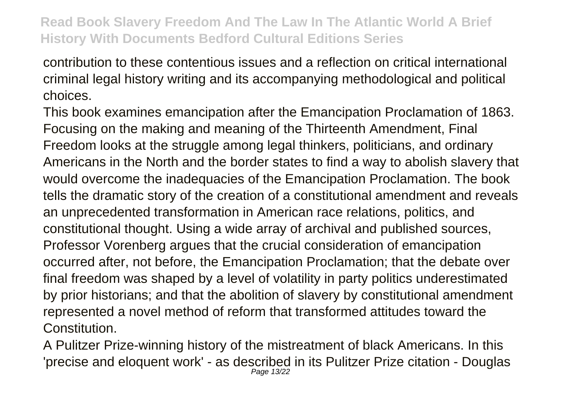contribution to these contentious issues and a reflection on critical international criminal legal history writing and its accompanying methodological and political choices.

This book examines emancipation after the Emancipation Proclamation of 1863. Focusing on the making and meaning of the Thirteenth Amendment, Final Freedom looks at the struggle among legal thinkers, politicians, and ordinary Americans in the North and the border states to find a way to abolish slavery that would overcome the inadequacies of the Emancipation Proclamation. The book tells the dramatic story of the creation of a constitutional amendment and reveals an unprecedented transformation in American race relations, politics, and constitutional thought. Using a wide array of archival and published sources, Professor Vorenberg argues that the crucial consideration of emancipation occurred after, not before, the Emancipation Proclamation; that the debate over final freedom was shaped by a level of volatility in party politics underestimated by prior historians; and that the abolition of slavery by constitutional amendment represented a novel method of reform that transformed attitudes toward the Constitution.

A Pulitzer Prize-winning history of the mistreatment of black Americans. In this 'precise and eloquent work' - as described in its Pulitzer Prize citation - Douglas Page 13/22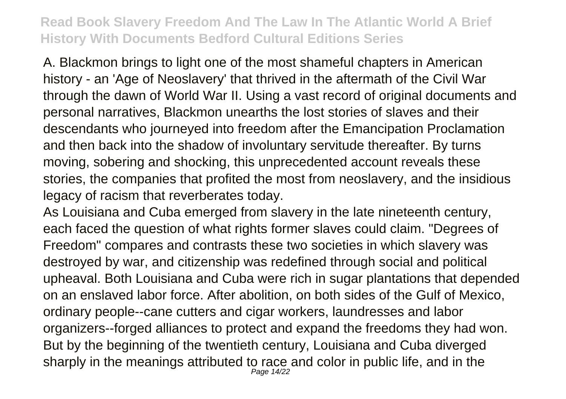A. Blackmon brings to light one of the most shameful chapters in American history - an 'Age of Neoslavery' that thrived in the aftermath of the Civil War through the dawn of World War II. Using a vast record of original documents and personal narratives, Blackmon unearths the lost stories of slaves and their descendants who journeyed into freedom after the Emancipation Proclamation and then back into the shadow of involuntary servitude thereafter. By turns moving, sobering and shocking, this unprecedented account reveals these stories, the companies that profited the most from neoslavery, and the insidious legacy of racism that reverberates today.

As Louisiana and Cuba emerged from slavery in the late nineteenth century, each faced the question of what rights former slaves could claim. "Degrees of Freedom" compares and contrasts these two societies in which slavery was destroyed by war, and citizenship was redefined through social and political upheaval. Both Louisiana and Cuba were rich in sugar plantations that depended on an enslaved labor force. After abolition, on both sides of the Gulf of Mexico, ordinary people--cane cutters and cigar workers, laundresses and labor organizers--forged alliances to protect and expand the freedoms they had won. But by the beginning of the twentieth century, Louisiana and Cuba diverged sharply in the meanings attributed to race and color in public life, and in the Page 14/22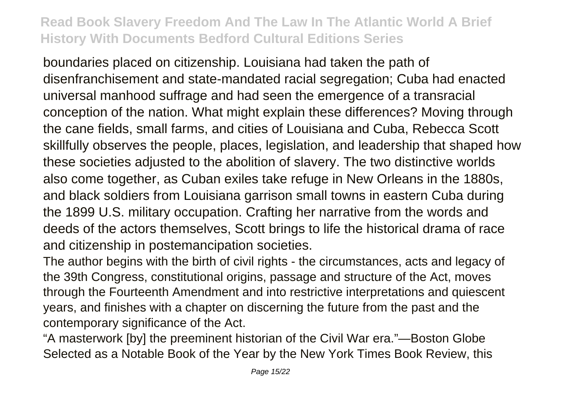boundaries placed on citizenship. Louisiana had taken the path of disenfranchisement and state-mandated racial segregation; Cuba had enacted universal manhood suffrage and had seen the emergence of a transracial conception of the nation. What might explain these differences? Moving through the cane fields, small farms, and cities of Louisiana and Cuba, Rebecca Scott skillfully observes the people, places, legislation, and leadership that shaped how these societies adjusted to the abolition of slavery. The two distinctive worlds also come together, as Cuban exiles take refuge in New Orleans in the 1880s, and black soldiers from Louisiana garrison small towns in eastern Cuba during the 1899 U.S. military occupation. Crafting her narrative from the words and deeds of the actors themselves, Scott brings to life the historical drama of race and citizenship in postemancipation societies.

The author begins with the birth of civil rights - the circumstances, acts and legacy of the 39th Congress, constitutional origins, passage and structure of the Act, moves through the Fourteenth Amendment and into restrictive interpretations and quiescent years, and finishes with a chapter on discerning the future from the past and the contemporary significance of the Act.

"A masterwork [by] the preeminent historian of the Civil War era."—Boston Globe Selected as a Notable Book of the Year by the New York Times Book Review, this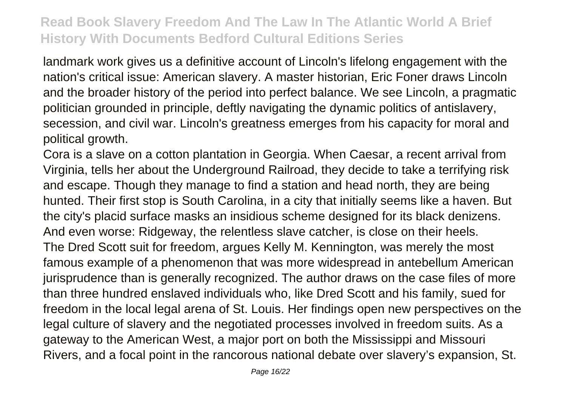landmark work gives us a definitive account of Lincoln's lifelong engagement with the nation's critical issue: American slavery. A master historian, Eric Foner draws Lincoln and the broader history of the period into perfect balance. We see Lincoln, a pragmatic politician grounded in principle, deftly navigating the dynamic politics of antislavery, secession, and civil war. Lincoln's greatness emerges from his capacity for moral and political growth.

Cora is a slave on a cotton plantation in Georgia. When Caesar, a recent arrival from Virginia, tells her about the Underground Railroad, they decide to take a terrifying risk and escape. Though they manage to find a station and head north, they are being hunted. Their first stop is South Carolina, in a city that initially seems like a haven. But the city's placid surface masks an insidious scheme designed for its black denizens. And even worse: Ridgeway, the relentless slave catcher, is close on their heels. The Dred Scott suit for freedom, argues Kelly M. Kennington, was merely the most famous example of a phenomenon that was more widespread in antebellum American jurisprudence than is generally recognized. The author draws on the case files of more than three hundred enslaved individuals who, like Dred Scott and his family, sued for freedom in the local legal arena of St. Louis. Her findings open new perspectives on the legal culture of slavery and the negotiated processes involved in freedom suits. As a gateway to the American West, a major port on both the Mississippi and Missouri Rivers, and a focal point in the rancorous national debate over slavery's expansion, St.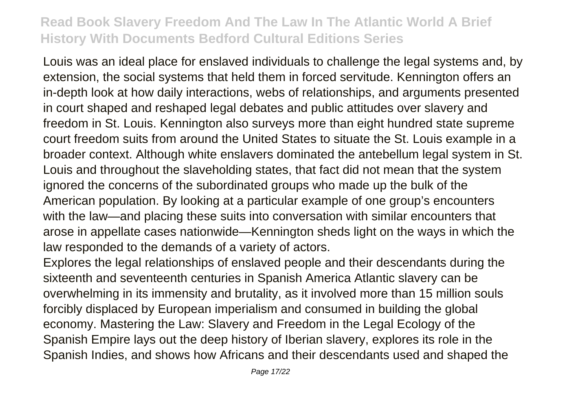Louis was an ideal place for enslaved individuals to challenge the legal systems and, by extension, the social systems that held them in forced servitude. Kennington offers an in-depth look at how daily interactions, webs of relationships, and arguments presented in court shaped and reshaped legal debates and public attitudes over slavery and freedom in St. Louis. Kennington also surveys more than eight hundred state supreme court freedom suits from around the United States to situate the St. Louis example in a broader context. Although white enslavers dominated the antebellum legal system in St. Louis and throughout the slaveholding states, that fact did not mean that the system ignored the concerns of the subordinated groups who made up the bulk of the American population. By looking at a particular example of one group's encounters with the law—and placing these suits into conversation with similar encounters that arose in appellate cases nationwide—Kennington sheds light on the ways in which the law responded to the demands of a variety of actors.

Explores the legal relationships of enslaved people and their descendants during the sixteenth and seventeenth centuries in Spanish America Atlantic slavery can be overwhelming in its immensity and brutality, as it involved more than 15 million souls forcibly displaced by European imperialism and consumed in building the global economy. Mastering the Law: Slavery and Freedom in the Legal Ecology of the Spanish Empire lays out the deep history of Iberian slavery, explores its role in the Spanish Indies, and shows how Africans and their descendants used and shaped the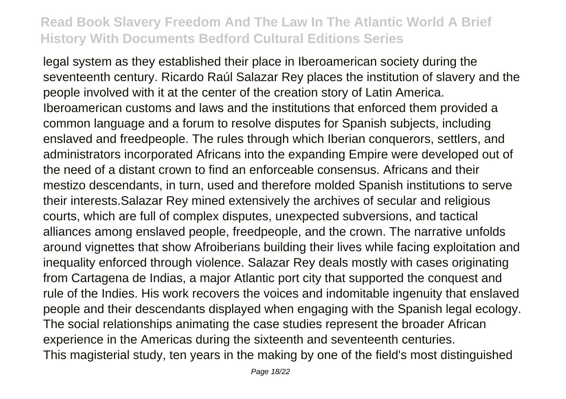legal system as they established their place in Iberoamerican society during the seventeenth century. Ricardo Raúl Salazar Rey places the institution of slavery and the people involved with it at the center of the creation story of Latin America. Iberoamerican customs and laws and the institutions that enforced them provided a common language and a forum to resolve disputes for Spanish subjects, including enslaved and freedpeople. The rules through which Iberian conquerors, settlers, and administrators incorporated Africans into the expanding Empire were developed out of the need of a distant crown to find an enforceable consensus. Africans and their mestizo descendants, in turn, used and therefore molded Spanish institutions to serve their interests.Salazar Rey mined extensively the archives of secular and religious courts, which are full of complex disputes, unexpected subversions, and tactical alliances among enslaved people, freedpeople, and the crown. The narrative unfolds around vignettes that show Afroiberians building their lives while facing exploitation and inequality enforced through violence. Salazar Rey deals mostly with cases originating from Cartagena de Indias, a major Atlantic port city that supported the conquest and rule of the Indies. His work recovers the voices and indomitable ingenuity that enslaved people and their descendants displayed when engaging with the Spanish legal ecology. The social relationships animating the case studies represent the broader African experience in the Americas during the sixteenth and seventeenth centuries. This magisterial study, ten years in the making by one of the field's most distinguished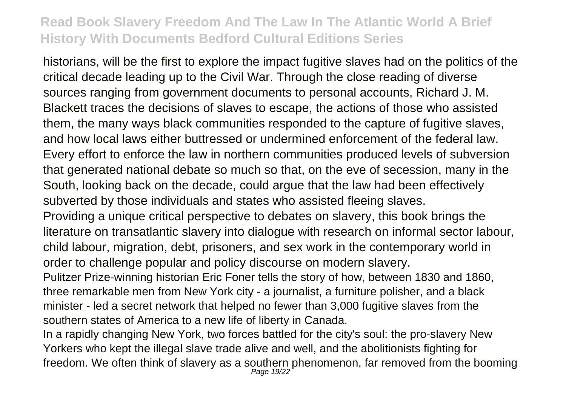historians, will be the first to explore the impact fugitive slaves had on the politics of the critical decade leading up to the Civil War. Through the close reading of diverse sources ranging from government documents to personal accounts, Richard J. M. Blackett traces the decisions of slaves to escape, the actions of those who assisted them, the many ways black communities responded to the capture of fugitive slaves, and how local laws either buttressed or undermined enforcement of the federal law. Every effort to enforce the law in northern communities produced levels of subversion that generated national debate so much so that, on the eve of secession, many in the South, looking back on the decade, could argue that the law had been effectively subverted by those individuals and states who assisted fleeing slaves.

Providing a unique critical perspective to debates on slavery, this book brings the literature on transatlantic slavery into dialogue with research on informal sector labour, child labour, migration, debt, prisoners, and sex work in the contemporary world in order to challenge popular and policy discourse on modern slavery.

Pulitzer Prize-winning historian Eric Foner tells the story of how, between 1830 and 1860, three remarkable men from New York city - a journalist, a furniture polisher, and a black minister - led a secret network that helped no fewer than 3,000 fugitive slaves from the southern states of America to a new life of liberty in Canada.

In a rapidly changing New York, two forces battled for the city's soul: the pro-slavery New Yorkers who kept the illegal slave trade alive and well, and the abolitionists fighting for freedom. We often think of slavery as a southern phenomenon, far removed from the booming<br>Page 19/22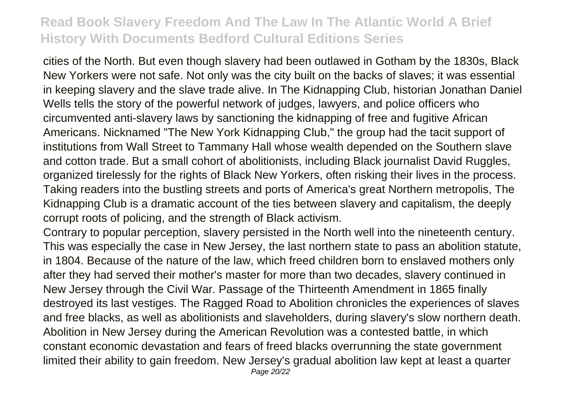cities of the North. But even though slavery had been outlawed in Gotham by the 1830s, Black New Yorkers were not safe. Not only was the city built on the backs of slaves; it was essential in keeping slavery and the slave trade alive. In The Kidnapping Club, historian Jonathan Daniel Wells tells the story of the powerful network of judges, lawyers, and police officers who circumvented anti-slavery laws by sanctioning the kidnapping of free and fugitive African Americans. Nicknamed "The New York Kidnapping Club," the group had the tacit support of institutions from Wall Street to Tammany Hall whose wealth depended on the Southern slave and cotton trade. But a small cohort of abolitionists, including Black journalist David Ruggles, organized tirelessly for the rights of Black New Yorkers, often risking their lives in the process. Taking readers into the bustling streets and ports of America's great Northern metropolis, The Kidnapping Club is a dramatic account of the ties between slavery and capitalism, the deeply corrupt roots of policing, and the strength of Black activism.

Contrary to popular perception, slavery persisted in the North well into the nineteenth century. This was especially the case in New Jersey, the last northern state to pass an abolition statute, in 1804. Because of the nature of the law, which freed children born to enslaved mothers only after they had served their mother's master for more than two decades, slavery continued in New Jersey through the Civil War. Passage of the Thirteenth Amendment in 1865 finally destroyed its last vestiges. The Ragged Road to Abolition chronicles the experiences of slaves and free blacks, as well as abolitionists and slaveholders, during slavery's slow northern death. Abolition in New Jersey during the American Revolution was a contested battle, in which constant economic devastation and fears of freed blacks overrunning the state government limited their ability to gain freedom. New Jersey's gradual abolition law kept at least a quarter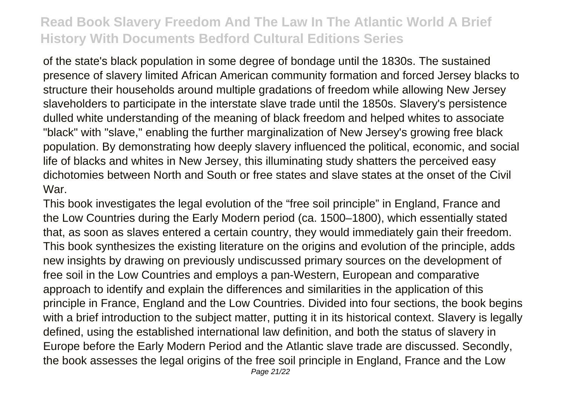of the state's black population in some degree of bondage until the 1830s. The sustained presence of slavery limited African American community formation and forced Jersey blacks to structure their households around multiple gradations of freedom while allowing New Jersey slaveholders to participate in the interstate slave trade until the 1850s. Slavery's persistence dulled white understanding of the meaning of black freedom and helped whites to associate "black" with "slave," enabling the further marginalization of New Jersey's growing free black population. By demonstrating how deeply slavery influenced the political, economic, and social life of blacks and whites in New Jersey, this illuminating study shatters the perceived easy dichotomies between North and South or free states and slave states at the onset of the Civil War.

This book investigates the legal evolution of the "free soil principle" in England, France and the Low Countries during the Early Modern period (ca. 1500–1800), which essentially stated that, as soon as slaves entered a certain country, they would immediately gain their freedom. This book synthesizes the existing literature on the origins and evolution of the principle, adds new insights by drawing on previously undiscussed primary sources on the development of free soil in the Low Countries and employs a pan-Western, European and comparative approach to identify and explain the differences and similarities in the application of this principle in France, England and the Low Countries. Divided into four sections, the book begins with a brief introduction to the subject matter, putting it in its historical context. Slavery is legally defined, using the established international law definition, and both the status of slavery in Europe before the Early Modern Period and the Atlantic slave trade are discussed. Secondly, the book assesses the legal origins of the free soil principle in England, France and the Low